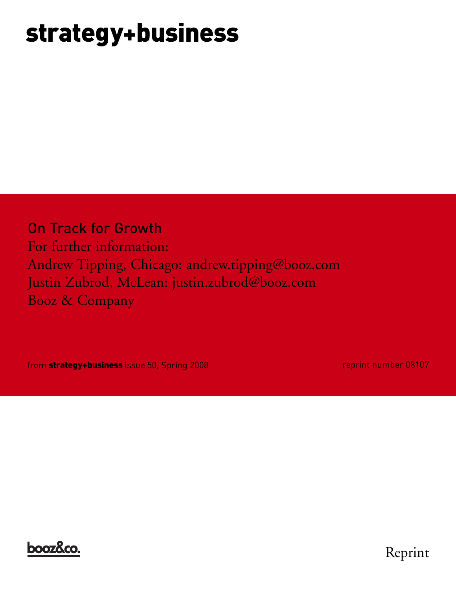# **strategy+business**

On Track for Growth For further information: Andrew Tipping, Chicago: andrew.tipping@booz.com

Justin Zubrod, McLean: justin.zubrod@booz.com

Booz & Company

from **strategy+business** issue 50, Spring 2008 **reprint number 08107** reprint number 08107



Reprint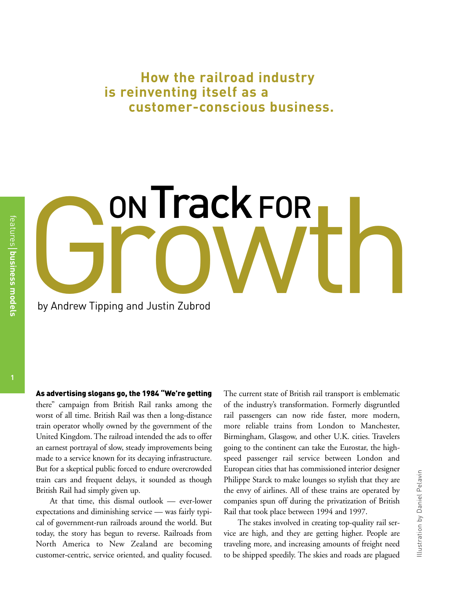**How the railroad industry is reinventing itself as a customer-conscious business.**

# ON Track FOR

by Andrew Tipping and Justin Zubrod

**As advertising slogans go, the 1984 "We're getting** there" campaign from British Rail ranks among the worst of all time. British Rail was then a long-distance train operator wholly owned by the government of the United Kingdom. The railroad intended the ads to offer an earnest portrayal of slow, steady improvements being made to a service known for its decaying infrastructure. But for a skeptical public forced to endure overcrowded train cars and frequent delays, it sounded as though British Rail had simply given up.

At that time, this dismal outlook — ever-lower expectations and diminishing service — was fairly typical of government-run railroads around the world. But today, the story has begun to reverse. Railroads from North America to New Zealand are becoming customer-centric, service oriented, and quality focused. The current state of British rail transport is emblematic of the industry's transformation. Formerly disgruntled rail passengers can now ride faster, more modern, more reliable trains from London to Manchester, Birmingham, Glasgow, and other U.K. cities. Travelers going to the continent can take the Eurostar, the highspeed passenger rail service between London and European cities that has commissioned interior designer Philippe Starck to make lounges so stylish that they are the envy of airlines. All of these trains are operated by companies spun off during the privatization of British Rail that took place between 1994 and 1997.

The stakes involved in creating top-quality rail service are high, and they are getting higher. People are traveling more, and increasing amounts of freight need to be shipped speedily. The skies and roads are plagued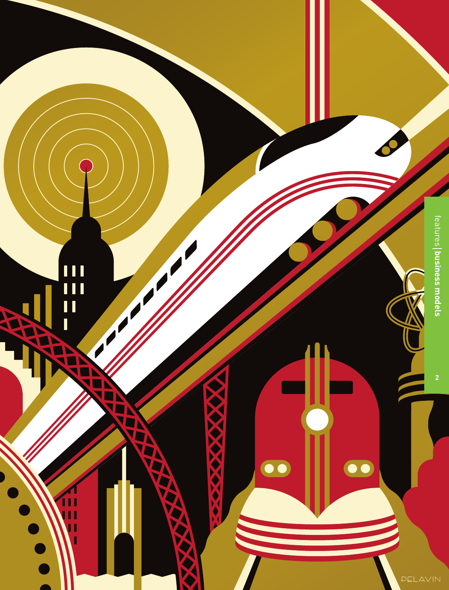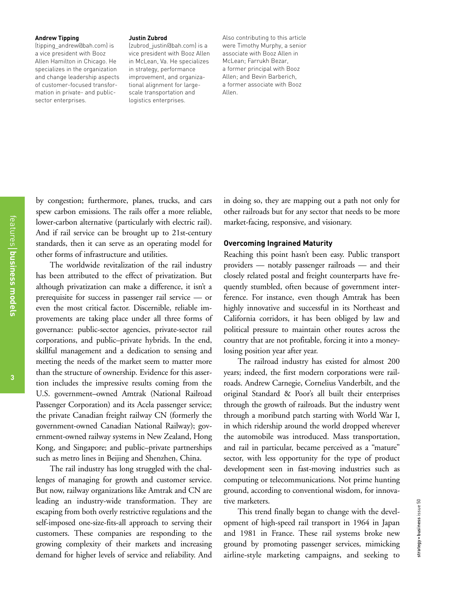#### **Andrew Tipping**

(tipping\_andrew@bah.com) is a vice president with Booz Allen Hamilton in Chicago. He specializes in the organization and change leadership aspects of customer-focused transformation in private- and publicsector enterprises.

#### **Justin Zubrod**

(zubrod\_justin@bah.com) is a vice president with Booz Allen in McLean, Va. He specializes in strategy, performance improvement, and organizational alignment for largescale transportation and logistics enterprises.

Also contributing to this article were Timothy Murphy, a senior associate with Booz Allen in McLean; Farrukh Bezar, a former principal with Booz Allen; and Bevin Barberich, a former associate with Booz Allen.

by congestion; furthermore, planes, trucks, and cars spew carbon emissions. The rails offer a more reliable, lower-carbon alternative (particularly with electric rail). And if rail service can be brought up to 21st-century standards, then it can serve as an operating model for other forms of infrastructure and utilities.

The worldwide revitalization of the rail industry has been attributed to the effect of privatization. But although privatization can make a difference, it isn't a prerequisite for success in passenger rail service — or even the most critical factor. Discernible, reliable improvements are taking place under all three forms of governance: public-sector agencies, private-sector rail corporations, and public–private hybrids. In the end, skillful management and a dedication to sensing and meeting the needs of the market seem to matter more than the structure of ownership. Evidence for this assertion includes the impressive results coming from the U.S. government–owned Amtrak (National Railroad Passenger Corporation) and its Acela passenger service; the private Canadian freight railway CN (formerly the government-owned Canadian National Railway); government-owned railway systems in New Zealand, Hong Kong, and Singapore; and public–private partnerships such as metro lines in Beijing and Shenzhen, China.

The rail industry has long struggled with the challenges of managing for growth and customer service. But now, railway organizations like Amtrak and CN are leading an industry-wide transformation. They are escaping from both overly restrictive regulations and the self-imposed one-size-fits-all approach to serving their customers. These companies are responding to the growing complexity of their markets and increasing demand for higher levels of service and reliability. And

in doing so, they are mapping out a path not only for other railroads but for any sector that needs to be more market-facing, responsive, and visionary.

#### **Overcoming Ingrained Maturity**

Reaching this point hasn't been easy. Public transport providers — notably passenger railroads — and their closely related postal and freight counterparts have frequently stumbled, often because of government interference. For instance, even though Amtrak has been highly innovative and successful in its Northeast and California corridors, it has been obliged by law and political pressure to maintain other routes across the country that are not profitable, forcing it into a moneylosing position year after year.

The railroad industry has existed for almost 200 years; indeed, the first modern corporations were railroads. Andrew Carnegie, Cornelius Vanderbilt, and the original Standard & Poor's all built their enterprises through the growth of railroads. But the industry went through a moribund patch starting with World War I, in which ridership around the world dropped wherever the automobile was introduced. Mass transportation, and rail in particular, became perceived as a "mature" sector, with less opportunity for the type of product development seen in fast-moving industries such as computing or telecommunications. Not prime hunting ground, according to conventional wisdom, for innovative marketers.

This trend finally began to change with the development of high-speed rail transport in 1964 in Japan and 1981 in France. These rail systems broke new ground by promoting passenger services, mimicking airline-style marketing campaigns, and seeking to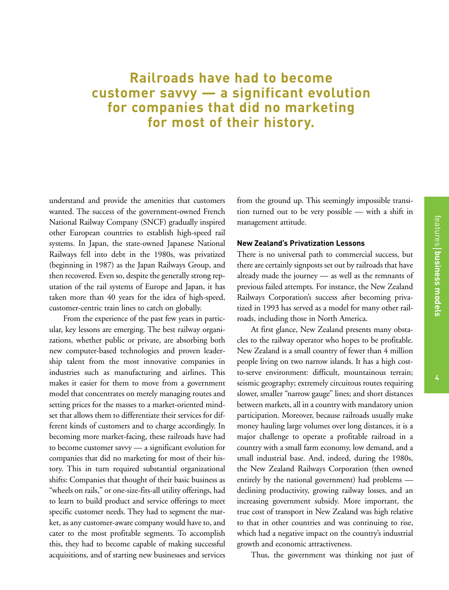# **Railroads have had to become customer savvy — a significant evolution for companies that did no marketing for most of their history.**

understand and provide the amenities that customers wanted. The success of the government-owned French National Railway Company (SNCF) gradually inspired other European countries to establish high-speed rail systems. In Japan, the state-owned Japanese National Railways fell into debt in the 1980s, was privatized (beginning in 1987) as the Japan Railways Group, and then recovered. Even so, despite the generally strong reputation of the rail systems of Europe and Japan, it has taken more than 40 years for the idea of high-speed, customer-centric train lines to catch on globally.

From the experience of the past few years in particular, key lessons are emerging. The best railway organizations, whether public or private, are absorbing both new computer-based technologies and proven leadership talent from the most innovative companies in industries such as manufacturing and airlines. This makes it easier for them to move from a government model that concentrates on merely managing routes and setting prices for the masses to a market-oriented mindset that allows them to differentiate their services for different kinds of customers and to charge accordingly. In becoming more market-facing, these railroads have had to become customer savvy — a significant evolution for companies that did no marketing for most of their history. This in turn required substantial organizational shifts: Companies that thought of their basic business as "wheels on rails," or one-size-fits-all utility offerings, had to learn to build product and service offerings to meet specific customer needs. They had to segment the market, as any customer-aware company would have to, and cater to the most profitable segments. To accomplish this, they had to become capable of making successful acquisitions, and of starting new businesses and services from the ground up. This seemingly impossible transition turned out to be very possible — with a shift in management attitude.

#### **New Zealand's Privatization Lessons**

There is no universal path to commercial success, but there are certainly signposts set out by railroads that have already made the journey — as well as the remnants of previous failed attempts. For instance, the New Zealand Railways Corporation's success after becoming privatized in 1993 has served as a model for many other railroads, including those in North America.

At first glance, New Zealand presents many obstacles to the railway operator who hopes to be profitable. New Zealand is a small country of fewer than 4 million people living on two narrow islands. It has a high costto-serve environment: difficult, mountainous terrain; seismic geography; extremely circuitous routes requiring slower, smaller "narrow gauge" lines; and short distances between markets, all in a country with mandatory union participation. Moreover, because railroads usually make money hauling large volumes over long distances, it is a major challenge to operate a profitable railroad in a country with a small farm economy, low demand, and a small industrial base. And, indeed, during the 1980s, the New Zealand Railways Corporation (then owned entirely by the national government) had problems declining productivity, growing railway losses, and an increasing government subsidy. More important, the true cost of transport in New Zealand was high relative to that in other countries and was continuing to rise, which had a negative impact on the country's industrial growth and economic attractiveness.

Thus, the government was thinking not just of

 **models**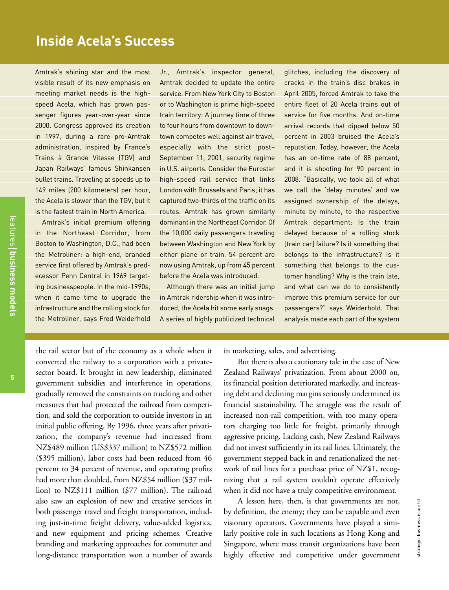## **Inside Acela's Success**

Amtrak's shining star and the most visible result of its new emphasis on meeting market needs is the highspeed Acela, which has grown passenger figures year-over-year since 2000. Congress approved its creation in 1997, during a rare pro-Amtrak administration, inspired by France's Trains à Grande Vitesse (TGV) and Japan Railways' famous Shinkansen bullet trains. Traveling at speeds up to 149 miles (200 kilometers) per hour, the Acela is slower than the TGV, but it is the fastest train in North America.

Amtrak's initial premium offering in the Northeast Corridor, from Boston to Washington, D.C., had been the Metroliner: a high-end, branded service first offered by Amtrak's predecessor Penn Central in 1969 targeting businesspeople. In the mid-1990s, when it came time to upgrade the infrastructure and the rolling stock for the Metroliner, says Fred Weiderhold

the rail sector but of the economy as a whole when it converted the railway to a corporation with a privatesector board. It brought in new leadership, eliminated government subsidies and interference in operations, gradually removed the constraints on trucking and other measures that had protected the railroad from competition, and sold the corporation to outside investors in an initial public offering. By 1996, three years after privatization, the company's revenue had increased from NZ\$489 million (US\$337 million) to NZ\$572 million (\$395 million), labor costs had been reduced from 46 percent to 34 percent of revenue, and operating profits had more than doubled, from NZ\$54 million (\$37 million) to NZ\$111 million (\$77 million). The railroad also saw an explosion of new and creative services in both passenger travel and freight transportation, including just-in-time freight delivery, value-added logistics, and new equipment and pricing schemes. Creative branding and marketing approaches for commuter and long-distance transportation won a number of awards

Jr., Amtrak's inspector general, Amtrak decided to update the entire service. From New York City to Boston or to Washington is prime high-speed train territory: A journey time of three to four hours from downtown to downtown competes well against air travel, especially with the strict post– September 11, 2001, security regime in U.S. airports. Consider the Eurostar high-speed rail service that links London with Brussels and Paris; it has captured two-thirds of the traffic on its routes. Amtrak has grown similarly dominant in the Northeast Corridor. Of the 10,000 daily passengers traveling between Washington and New York by either plane or train, 54 percent are now using Amtrak, up from 45 percent before the Acela was introduced.

Although there was an initial jump in Amtrak ridership when it was introduced, the Acela hit some early snags. A series of highly publicized technical glitches, including the discovery of cracks in the train's disc brakes in April 2005, forced Amtrak to take the entire fleet of 20 Acela trains out of service for five months. And on-time arrival records that dipped below 50 percent in 2003 bruised the Acela's reputation. Today, however, the Acela has an on-time rate of 88 percent, and it is shooting for 90 percent in 2008. "Basically, we took all of what we call the 'delay minutes' and we assigned ownership of the delays, minute by minute, to the respective Amtrak department: Is the train delayed because of a rolling stock [train car] failure? Is it something that belongs to the infrastructure? Is it something that belongs to the customer handling? Why is the train late, and what can we do to consistently improve this premium service for our passengers?" says Weiderhold. That analysis made each part of the system

in marketing, sales, and advertising.

But there is also a cautionary tale in the case of New Zealand Railways' privatization. From about 2000 on, its financial position deteriorated markedly, and increasing debt and declining margins seriously undermined its financial sustainability. The struggle was the result of increased non-rail competition, with too many operators charging too little for freight, primarily through aggressive pricing. Lacking cash, New Zealand Railways did not invest sufficiently in its rail lines. Ultimately, the government stepped back in and renationalized the network of rail lines for a purchase price of NZ\$1, recognizing that a rail system couldn't operate effectively when it did not have a truly competitive environment.

A lesson here, then, is that governments are not, by definition, the enemy; they can be capable and even visionary operators. Governments have played a similarly positive role in such locations as Hong Kong and Singapore, where mass transit organizations have been highly effective and competitive under government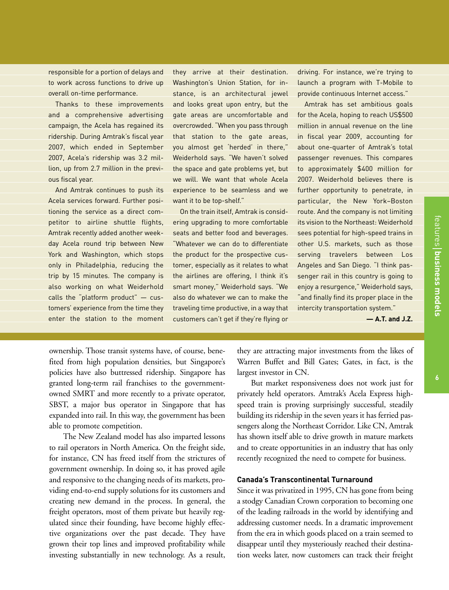responsible for a portion of delays and to work across functions to drive up overall on-time performance.

Thanks to these improvements and a comprehensive advertising campaign, the Acela has regained its ridership. During Amtrak's fiscal year 2007, which ended in September 2007, Acela's ridership was 3.2 million, up from 2.7 million in the previous fiscal year.

And Amtrak continues to push its Acela services forward. Further positioning the service as a direct competitor to airline shuttle flights, Amtrak recently added another weekday Acela round trip between New York and Washington, which stops only in Philadelphia, reducing the trip by 15 minutes. The company is also working on what Weiderhold calls the "platform product" — customers' experience from the time they enter the station to the moment they arrive at their destination. Washington's Union Station, for instance, is an architectural jewel and looks great upon entry, but the gate areas are uncomfortable and overcrowded. "When you pass through that station to the gate areas, you almost get 'herded' in there," Weiderhold says. "We haven't solved the space and gate problems yet, but we will. We want that whole Acela experience to be seamless and we want it to be top-shelf."

On the train itself, Amtrak is considering upgrading to more comfortable seats and better food and beverages. "Whatever we can do to differentiate the product for the prospective customer, especially as it relates to what the airlines are offering, I think it's smart money," Weiderhold says. "We also do whatever we can to make the traveling time productive, in a way that customers can't get if they're flying or

driving. For instance, we're trying to launch a program with T-Mobile to provide continuous Internet access."

Amtrak has set ambitious goals for the Acela, hoping to reach US\$500 million in annual revenue on the line in fiscal year 2009, accounting for about one-quarter of Amtrak's total passenger revenues. This compares to approximately \$400 million for 2007. Weiderhold believes there is further opportunity to penetrate, in particular, the New York–Boston route. And the company is not limiting its vision to the Northeast: Weiderhold sees potential for high-speed trains in other U.S. markets, such as those serving travelers between Los Angeles and San Diego. "I think passenger rail in this country is going to enjoy a resurgence," Weiderhold says, "and finally find its proper place in the intercity transportation system."

**— A.T. and J.Z.**

ownership. Those transit systems have, of course, benefited from high population densities, but Singapore's policies have also buttressed ridership. Singapore has granted long-term rail franchises to the governmentowned SMRT and more recently to a private operator, SBST, a major bus operator in Singapore that has expanded into rail. In this way, the government has been able to promote competition.

The New Zealand model has also imparted lessons to rail operators in North America. On the freight side, for instance, CN has freed itself from the strictures of government ownership. In doing so, it has proved agile and responsive to the changing needs of its markets, providing end-to-end supply solutions for its customers and creating new demand in the process. In general, the freight operators, most of them private but heavily regulated since their founding, have become highly effective organizations over the past decade. They have grown their top lines and improved profitability while investing substantially in new technology. As a result,

they are attracting major investments from the likes of Warren Buffet and Bill Gates; Gates, in fact, is the largest investor in CN.

But market responsiveness does not work just for privately held operators. Amtrak's Acela Express highspeed train is proving surprisingly successful, steadily building its ridership in the seven years it has ferried passengers along the Northeast Corridor. Like CN, Amtrak has shown itself able to drive growth in mature markets and to create opportunities in an industry that has only recently recognized the need to compete for business.

#### **Canada's Transcontinental Turnaround**

Since it was privatized in 1995, CN has gone from being a stodgy Canadian Crown corporation to becoming one of the leading railroads in the world by identifying and addressing customer needs. In a dramatic improvement from the era in which goods placed on a train seemed to disappear until they mysteriously reached their destination weeks later, now customers can track their freight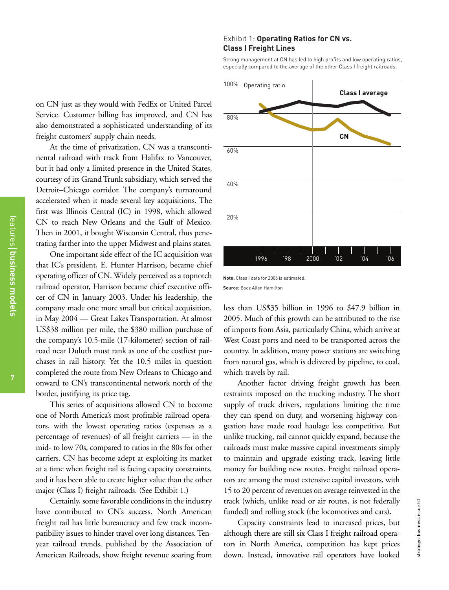#### **Exhibit 1: Operating Ratios for CN vs. C ass Fre ght L nes**

Strong management at CN has led to high profits and low operating ratios, especially compared to the average of the other Class I freight railroads.

on CN just as they would with FedEx or United Parcel Service. Customer billing has improved, and CN has also demonstrated a sophisticated understanding of its freight customers' supply chain needs.

At the time of privatization, CN was a transcontinental railroad with track from Halifax to Vancouver, but it had only a limited presence in the United States, courtesy of its Grand Trunk subsidiary, which served the Detroit–Chicago corridor. The company's turnaround accelerated when it made several key acquisitions. The first was Illinois Central (IC) in 1998, which allowed CN to reach New Orleans and the Gulf of Mexico. Then in 2001, it bought Wisconsin Central, thus penetrating farther into the upper Midwest and plains states.

One important side effect of the IC acquisition was that IC's president, E. Hunter Harrison, became chief operating officer of CN. Widely perceived as a topnotch railroad operator, Harrison became chief executive officer of CN in January 2003. Under his leadership, the company made one more small but critical acquisition, in May 2004 — Great Lakes Transportation. At almost US\$38 million per mile, the \$380 million purchase of the company's 10.5-mile (17-kilometer) section of railroad near Duluth must rank as one of the costliest purchases in rail history. Yet the 10.5 miles in question completed the route from New Orleans to Chicago and onward to CN's transcontinental network north of the border, justifying its price tag.

This series of acquisitions allowed CN to become one of North America's most profitable railroad operators, with the lowest operating ratios (expenses as a percentage of revenues) of all freight carriers — in the mid- to low 70s, compared to ratios in the 80s for other carriers. CN has become adept at exploiting its market at a time when freight rail is facing capacity constraints, and it has been able to create higher value than the other major (Class I) freight railroads. (See Exhibit 1.)

Certainly, some favorable conditions in the industry have contributed to CN's success. North American freight rail has little bureaucracy and few track incompatibility issues to hinder travel over long distances. Tenyear railroad trends, published by the Association of American Railroads, show freight revenue soaring from



Note: Class I data for 2006 is estimated

**Source: Booz Allen Hamilton** 

less than US\$35 billion in 1996 to \$47.9 billion in 2005. Much of this growth can be attributed to the rise of imports from Asia, particularly China, which arrive at West Coast ports and need to be transported across the country. In addition, many power stations are switching from natural gas, which is delivered by pipeline, to coal, which travels by rail.

Another factor driving freight growth has been restraints imposed on the trucking industry. The short supply of truck drivers, regulations limiting the time they can spend on duty, and worsening highway congestion have made road haulage less competitive. But unlike trucking, rail cannot quickly expand, because the railroads must make massive capital investments simply to maintain and upgrade existing track, leaving little money for building new routes. Freight railroad operators are among the most extensive capital investors, with 15 to 20 percent of revenues on average reinvested in the track (which, unlike road or air routes, is not federally funded) and rolling stock (the locomotives and cars).

Capacity constraints lead to increased prices, but although there are still six Class I freight railroad operators in North America, competition has kept prices down. Instead, innovative rail operators have looked

**7**

features

**business**

 **models**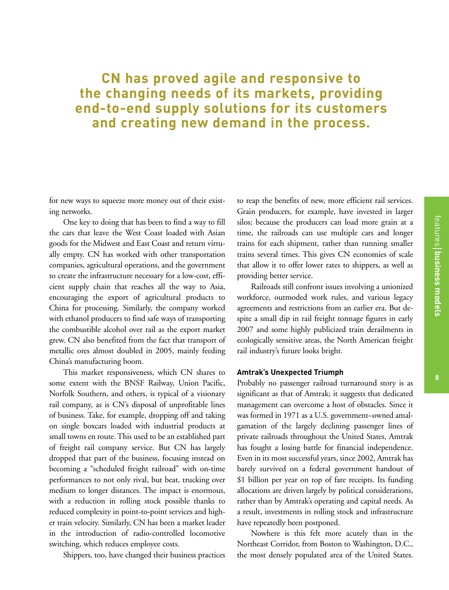# **CN has proved agile and responsive to the changing needs of its markets, providing end-to-end supply solutions for its customers and creating new demand in the process.**

for new ways to squeeze more money out of their existing networks.

One key to doing that has been to find a way to fill the cars that leave the West Coast loaded with Asian goods for the Midwest and East Coast and return virtually empty. CN has worked with other transportation companies, agricultural operations, and the government to create the infrastructure necessary for a low-cost, efficient supply chain that reaches all the way to Asia, encouraging the export of agricultural products to China for processing. Similarly, the company worked with ethanol producers to find safe ways of transporting the combustible alcohol over rail as the export market grew. CN also benefited from the fact that transport of metallic ores almost doubled in 2005, mainly feeding China's manufacturing boom.

This market responsiveness, which CN shares to some extent with the BNSF Railway, Union Pacific, Norfolk Southern, and others, is typical of a visionary rail company, as is CN's disposal of unprofitable lines of business. Take, for example, dropping off and taking on single boxcars loaded with industrial products at small towns en route. This used to be an established part of freight rail company service. But CN has largely dropped that part of the business, focusing instead on becoming a "scheduled freight railroad" with on-time performances to not only rival, but beat, trucking over medium to longer distances. The impact is enormous, with a reduction in rolling stock possible thanks to reduced complexity in point-to-point services and higher train velocity. Similarly, CN has been a market leader in the introduction of radio-controlled locomotive switching, which reduces employee costs.

Shippers, too, have changed their business practices

to reap the benefits of new, more efficient rail services. Grain producers, for example, have invested in larger silos; because the producers can load more grain at a time, the railroads can use multiple cars and longer trains for each shipment, rather than running smaller trains several times. This gives CN economies of scale that allow it to offer lower rates to shippers, as well as providing better service.

Railroads still confront issues involving a unionized workforce, outmoded work rules, and various legacy agreements and restrictions from an earlier era. But despite a small dip in rail freight tonnage figures in early 2007 and some highly publicized train derailments in ecologically sensitive areas, the North American freight rail industry's future looks bright.

#### **Amtrak's Unexpected Triumph**

Probably no passenger railroad turnaround story is as significant as that of Amtrak; it suggests that dedicated management can overcome a host of obstacles. Since it was formed in 1971 as a U.S. government–owned amalgamation of the largely declining passenger lines of private railroads throughout the United States, Amtrak has fought a losing battle for financial independence. Even in its most successful years, since 2002, Amtrak has barely survived on a federal government handout of \$1 billion per year on top of fare receipts. Its funding allocations are driven largely by political considerations, rather than by Amtrak's operating and capital needs. As a result, investments in rolling stock and infrastructure have repeatedly been postponed.

Nowhere is this felt more acutely than in the Northeast Corridor, from Boston to Washington, D.C., the most densely populated area of the United States.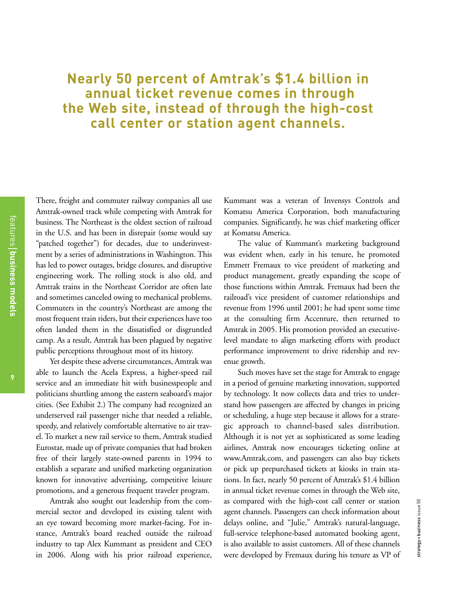# **Nearly 50 percent of Amtrak's \$1.4 billion in annual ticket revenue comes in through the Web site, instead of through the high-cost call center or station agent channels.**

There, freight and commuter railway companies all use Amtrak-owned track while competing with Amtrak for business. The Northeast is the oldest section of railroad in the U.S. and has been in disrepair (some would say "patched together") for decades, due to underinvestment by a series of administrations in Washington. This has led to power outages, bridge closures, and disruptive engineering work. The rolling stock is also old, and Amtrak trains in the Northeast Corridor are often late and sometimes canceled owing to mechanical problems. Commuters in the country's Northeast are among the most frequent train riders, but their experiences have too often landed them in the dissatisfied or disgruntled camp. As a result, Amtrak has been plagued by negative public perceptions throughout most of its history.

Yet despite these adverse circumstances, Amtrak was able to launch the Acela Express, a higher-speed rail service and an immediate hit with businesspeople and politicians shuttling among the eastern seaboard's major cities. (See Exhibit 2.) The company had recognized an underserved rail passenger niche that needed a reliable, speedy, and relatively comfortable alternative to air travel. To market a new rail service to them, Amtrak studied Eurostar, made up of private companies that had broken free of their largely state-owned parents in 1994 to establish a separate and unified marketing organization known for innovative advertising, competitive leisure promotions, and a generous frequent traveler program.

Amtrak also sought out leadership from the commercial sector and developed its existing talent with an eye toward becoming more market-facing. For instance, Amtrak's board reached outside the railroad industry to tap Alex Kummant as president and CEO in 2006. Along with his prior railroad experience,

Kummant was a veteran of Invensys Controls and Komatsu America Corporation, both manufacturing companies. Significantly, he was chief marketing officer at Komatsu America.

The value of Kummant's marketing background was evident when, early in his tenure, he promoted Emmett Fremaux to vice president of marketing and product management, greatly expanding the scope of those functions within Amtrak. Fremaux had been the railroad's vice president of customer relationships and revenue from 1996 until 2001; he had spent some time at the consulting firm Accenture, then returned to Amtrak in 2005. His promotion provided an executivelevel mandate to align marketing efforts with product performance improvement to drive ridership and revenue growth.

Such moves have set the stage for Amtrak to engage in a period of genuine marketing innovation, supported by technology. It now collects data and tries to understand how passengers are affected by changes in pricing or scheduling, a huge step because it allows for a strategic approach to channel-based sales distribution. Although it is not yet as sophisticated as some leading airlines, Amtrak now encourages ticketing online at www.Amtrak.com, and passengers can also buy tickets or pick up prepurchased tickets at kiosks in train stations. In fact, nearly 50 percent of Amtrak's \$1.4 billion in annual ticket revenue comes in through the Web site, as compared with the high-cost call center or station agent channels. Passengers can check information about delays online, and "Julie," Amtrak's natural-language, full-service telephone-based automated booking agent, is also available to assist customers. All of these channels were developed by Fremaux during his tenure as VP of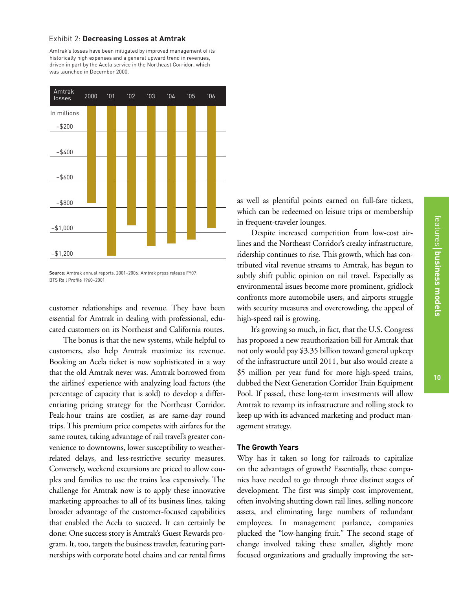#### Exhibit 2: **Decreasing Losses at Amtrak**

Amtrak's losses have been mitigated by improved management of its historically high expenses and a general upward trend in revenues, driven in part by the Acela service in the Northeast Corridor, which was launched in December 2000



Source: Amtrak annual reports, 2001-2006; Amtrak press release FY07; BTS Rail Profile 1960-2001

customer relationships and revenue. They have been essential for Amtrak in dealing with professional, educated customers on its Northeast and California routes.

The bonus is that the new systems, while helpful to customers, also help Amtrak maximize its revenue. Booking an Acela ticket is now sophisticated in a way that the old Amtrak never was. Amtrak borrowed from the airlines' experience with analyzing load factors (the percentage of capacity that is sold) to develop a differentiating pricing strategy for the Northeast Corridor. Peak-hour trains are costlier, as are same-day round trips. This premium price competes with airfares for the same routes, taking advantage of rail travel's greater convenience to downtowns, lower susceptibility to weatherrelated delays, and less-restrictive security measures. Conversely, weekend excursions are priced to allow couples and families to use the trains less expensively. The challenge for Amtrak now is to apply these innovative marketing approaches to all of its business lines, taking broader advantage of the customer-focused capabilities that enabled the Acela to succeed. It can certainly be done: One success story is Amtrak's Guest Rewards program. It, too, targets the business traveler, featuring partnerships with corporate hotel chains and car rental firms as well as plentiful points earned on full-fare tickets, which can be redeemed on leisure trips or membership in frequent-traveler lounges.

Despite increased competition from low-cost airlines and the Northeast Corridor's creaky infrastructure, ridership continues to rise. This growth, which has contributed vital revenue streams to Amtrak, has begun to subtly shift public opinion on rail travel. Especially as environmental issues become more prominent, gridlock confronts more automobile users, and airports struggle with security measures and overcrowding, the appeal of high-speed rail is growing.

It's growing so much, in fact, that the U.S. Congress has proposed a new reauthorization bill for Amtrak that not only would pay \$3.35 billion toward general upkeep of the infrastructure until 2011, but also would create a \$5 million per year fund for more high-speed trains, dubbed the Next Generation Corridor Train Equipment Pool. If passed, these long-term investments will allow Amtrak to revamp its infrastructure and rolling stock to keep up with its advanced marketing and product management strategy.

#### **The Growth Years**

Why has it taken so long for railroads to capitalize on the advantages of growth? Essentially, these companies have needed to go through three distinct stages of development. The first was simply cost improvement, often involving shutting down rail lines, selling noncore assets, and eliminating large numbers of redundant employees. In management parlance, companies plucked the "low-hanging fruit." The second stage of change involved taking these smaller, slightly more focused organizations and gradually improving the ser-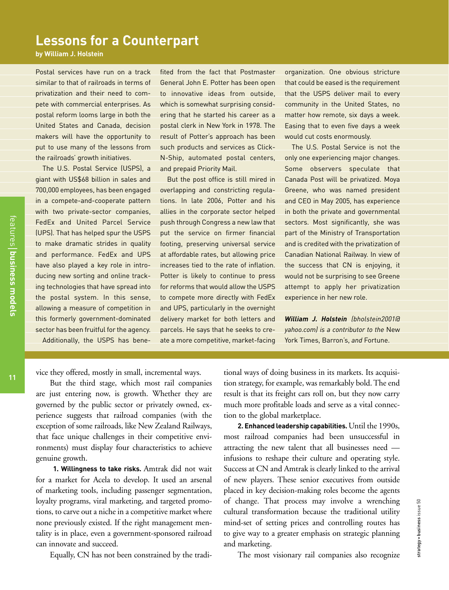## **Lessons for a Counterpart**

**by William J. Holstein**

Postal services have run on a track similar to that of railroads in terms of privatization and their need to compete with commercial enterprises. As postal reform looms large in both the United States and Canada, decision makers will have the opportunity to put to use many of the lessons from the railroads' growth initiatives.

The U.S. Postal Service (USPS), a giant with US\$68 billion in sales and 700,000 employees, has been engaged in a compete-and-cooperate pattern with two private-sector companies, FedEx and United Parcel Service (UPS). That has helped spur the USPS to make dramatic strides in quality and performance. FedEx and UPS have also played a key role in introducing new sorting and online tracking technologies that have spread into the postal system. In this sense, allowing a measure of competition in this formerly government-dominated sector has been fruitful for the agency. Additionally, the USPS has bene-

fited from the fact that Postmaster General John E. Potter has been open to innovative ideas from outside, which is somewhat surprising considering that he started his career as a postal clerk in New York in 1978. The result of Potter's approach has been such products and services as Click-N-Ship, automated postal centers, and prepaid Priority Mail.

But the post office is still mired in overlapping and constricting regulations. In late 2006, Potter and his allies in the corporate sector helped push through Congress a new law that put the service on firmer financial footing, preserving universal service at affordable rates, but allowing price increases tied to the rate of inflation. Potter is likely to continue to press for reforms that would allow the USPS to compete more directly with FedEx and UPS, particularly in the overnight delivery market for both letters and parcels. He says that he seeks to create a more competitive, market-facing

organization. One obvious stricture that could be eased is the requirement that the USPS deliver mail to every community in the United States, no matter how remote, six days a week. Easing that to even five days a week would cut costs enormously.

The U.S. Postal Service is not the only one experiencing major changes. Some observers speculate that Canada Post will be privatized. Moya Greene, who was named president and CEO in May 2005, has experience in both the private and governmental sectors. Most significantly, she was part of the Ministry of Transportation and is credited with the privatization of Canadian National Railway. In view of the success that CN is enjoying, it would not be surprising to see Greene attempt to apply her privatization experience in her new role.

*William J. Holstein (bholstein2001@ yahoo.com) is a contributor to the* New York Times, Barron's, *and* Fortune.

vice they offered, mostly in small, incremental ways.

But the third stage, which most rail companies are just entering now, is growth. Whether they are governed by the public sector or privately owned, experience suggests that railroad companies (with the exception of some railroads, like New Zealand Railways, that face unique challenges in their competitive environments) must display four characteristics to achieve genuine growth.

**1. Willingness to take risks.** Amtrak did not wait for a market for Acela to develop. It used an arsenal of marketing tools, including passenger segmentation, loyalty programs, viral marketing, and targeted promotions, to carve out a niche in a competitive market where none previously existed. If the right management mentality is in place, even a government-sponsored railroad can innovate and succeed.

Equally, CN has not been constrained by the tradi-

tional ways of doing business in its markets. Its acquisition strategy, for example, was remarkably bold. The end result is that its freight cars roll on, but they now carry much more profitable loads and serve as a vital connection to the global marketplace.

**2. Enhanced leadership capabilities.**Until the 1990s, most railroad companies had been unsuccessful in attracting the new talent that all businesses need infusions to reshape their culture and operating style. Success at CN and Amtrak is clearly linked to the arrival of new players. These senior executives from outside placed in key decision-making roles become the agents of change. That process may involve a wrenching cultural transformation because the traditional utility mind-set of setting prices and controlling routes has to give way to a greater emphasis on strategic planning and marketing.

The most visionary rail companies also recognize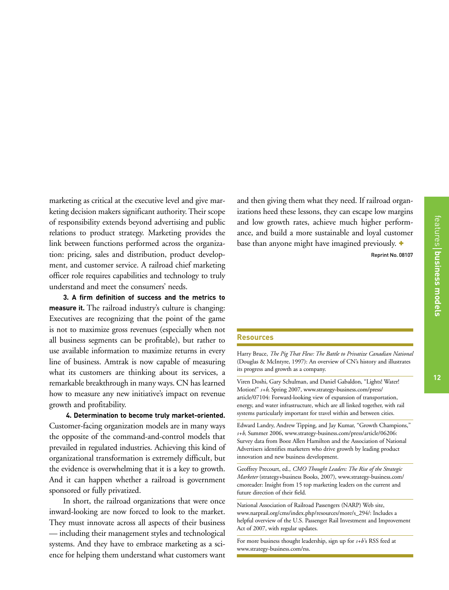marketing as critical at the executive level and give marketing decision makers significant authority. Their scope of responsibility extends beyond advertising and public relations to product strategy. Marketing provides the link between functions performed across the organization: pricing, sales and distribution, product development, and customer service. A railroad chief marketing officer role requires capabilities and technology to truly understand and meet the consumers' needs.

**3. A firm definition of success and the metrics to measure it.** The railroad industry's culture is changing: Executives are recognizing that the point of the game is not to maximize gross revenues (especially when not all business segments can be profitable), but rather to use available information to maximize returns in every line of business. Amtrak is now capable of measuring what its customers are thinking about its services, a remarkable breakthrough in many ways. CN has learned how to measure any new initiative's impact on revenue growth and profitability.

**4. Determination to become truly market-oriented.** Customer-facing organization models are in many ways the opposite of the command-and-control models that prevailed in regulated industries. Achieving this kind of organizational transformation is extremely difficult, but the evidence is overwhelming that it is a key to growth. And it can happen whether a railroad is government sponsored or fully privatized.

In short, the railroad organizations that were once inward-looking are now forced to look to the market. They must innovate across all aspects of their business — including their management styles and technological systems. And they have to embrace marketing as a science for helping them understand what customers want

and then giving them what they need. If railroad organizations heed these lessons, they can escape low margins and low growth rates, achieve much higher performance, and build a more sustainable and loyal customer base than anyone might have imagined previously. **+**

Reprint No. 08107

#### **Resources**

Harry Bruce, *The Pig That Flew: The Battle to Privatize Canadian National* (Douglas & McIntyre, 1997): An overview of CN's history and illustrates its progress and growth as a company.

Viren Doshi, Gary Schulman, and Daniel Gabaldon, "Lights! Water! Motion!" *s+b,* Spring 2007, www.strategy-business.com/press/ article/07104: Forward-looking view of expansion of transportation, energy, and water infrastructure, which are all linked together, with rail systems particularly important for travel within and between cities.

Edward Landry, Andrew Tipping, and Jay Kumar, "Growth Champions," *s+b,* Summer 2006, www.strategy-business.com/press/article/06206: Survey data from Booz Allen Hamilton and the Association of National Advertisers identifies marketers who drive growth by leading product innovation and new business development.

Geoffrey Precourt, ed., *CMO Thought Leaders: The Rise of the Strategic Marketer* (strategy+business Books, 2007), www.strategy-business.com/ cmoreader: Insight from 15 top marketing leaders on the current and future direction of their field.

National Association of Railroad Passengers (NARP) Web site, www.narprail.org/cms/index.php/resources/more/s\_294/: Includes a helpful overview of the U.S. Passenger Rail Investment and Improvement Act of 2007, with regular updates.

For more business thought leadership, sign up for *s+b*'s RSS feed at www.strategy-business.com/rss.